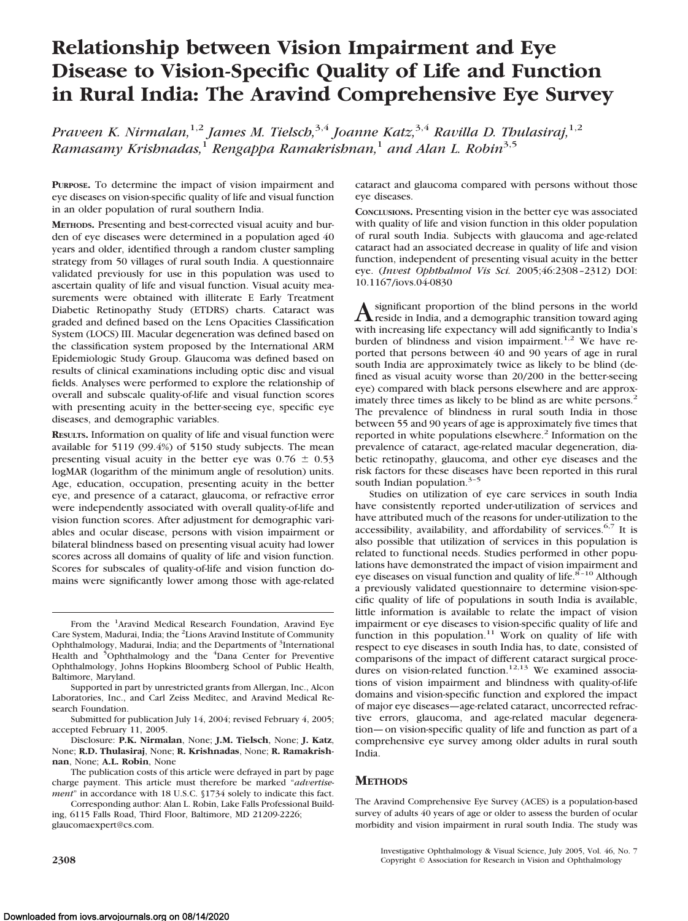# **Relationship between Vision Impairment and Eye Disease to Vision-Specific Quality of Life and Function in Rural India: The Aravind Comprehensive Eye Survey**

*Praveen K. Nirmalan,*1,2 *James M. Tielsch,*3,4 *Joanne Katz,*3,4 *Ravilla D. Thulasiraj,*1,2 *Ramasamy Krishnadas,*<sup>1</sup> *Rengappa Ramakrishnan,*<sup>1</sup> *and Alan L. Robin*3,5

**PURPOSE.** To determine the impact of vision impairment and eye diseases on vision-specific quality of life and visual function in an older population of rural southern India.

**METHODS.** Presenting and best-corrected visual acuity and burden of eye diseases were determined in a population aged 40 years and older, identified through a random cluster sampling strategy from 50 villages of rural south India. A questionnaire validated previously for use in this population was used to ascertain quality of life and visual function. Visual acuity measurements were obtained with illiterate E Early Treatment Diabetic Retinopathy Study (ETDRS) charts. Cataract was graded and defined based on the Lens Opacities Classification System (LOCS) III. Macular degeneration was defined based on the classification system proposed by the International ARM Epidemiologic Study Group. Glaucoma was defined based on results of clinical examinations including optic disc and visual fields. Analyses were performed to explore the relationship of overall and subscale quality-of-life and visual function scores with presenting acuity in the better-seeing eye, specific eye diseases, and demographic variables.

**RESULTS.** Information on quality of life and visual function were available for 5119 (99.4%) of 5150 study subjects. The mean presenting visual acuity in the better eye was  $0.76 \pm 0.53$ logMAR (logarithm of the minimum angle of resolution) units. Age, education, occupation, presenting acuity in the better eye, and presence of a cataract, glaucoma, or refractive error were independently associated with overall quality-of-life and vision function scores. After adjustment for demographic variables and ocular disease, persons with vision impairment or bilateral blindness based on presenting visual acuity had lower scores across all domains of quality of life and vision function. Scores for subscales of quality-of-life and vision function domains were significantly lower among those with age-related

cataract and glaucoma compared with persons without those eye diseases.

**CONCLUSIONS.** Presenting vision in the better eye was associated with quality of life and vision function in this older population of rural south India. Subjects with glaucoma and age-related cataract had an associated decrease in quality of life and vision function, independent of presenting visual acuity in the better eye. (*Invest Ophthalmol Vis Sci.* 2005;46:2308 –2312) DOI: 10.1167/iovs.04-0830

Asignificant proportion of the blind persons in the world<br>reside in India, and a demographic transition toward aging with increasing life expectancy will add significantly to India's burden of blindness and vision impairment.<sup>1,2</sup> We have reported that persons between 40 and 90 years of age in rural south India are approximately twice as likely to be blind (defined as visual acuity worse than 20/200 in the better-seeing eye) compared with black persons elsewhere and are approximately three times as likely to be blind as are white persons.<sup>2</sup> The prevalence of blindness in rural south India in those between 55 and 90 years of age is approximately five times that reported in white populations elsewhere.<sup>2</sup> Information on the prevalence of cataract, age-related macular degeneration, diabetic retinopathy, glaucoma, and other eye diseases and the risk factors for these diseases have been reported in this rural south Indian population. $3-5$ 

Studies on utilization of eye care services in south India have consistently reported under-utilization of services and have attributed much of the reasons for under-utilization to the accessibility, availability, and affordability of services. $6,7$  It is also possible that utilization of services in this population is related to functional needs. Studies performed in other populations have demonstrated the impact of vision impairment and eye diseases on visual function and quality of life. $8-10$  Although a previously validated questionnaire to determine vision-specific quality of life of populations in south India is available, little information is available to relate the impact of vision impairment or eye diseases to vision-specific quality of life and function in this population.<sup>11</sup> Work on quality of life with respect to eye diseases in south India has, to date, consisted of comparisons of the impact of different cataract surgical procedures on vision-related function.<sup>12,13</sup> We examined associations of vision impairment and blindness with quality-of-life domains and vision-specific function and explored the impact of major eye diseases—age-related cataract, uncorrected refractive errors, glaucoma, and age-related macular degeneration— on vision-specific quality of life and function as part of a comprehensive eye survey among older adults in rural south India.

## **METHODS**

The Aravind Comprehensive Eye Survey (ACES) is a population-based survey of adults 40 years of age or older to assess the burden of ocular morbidity and vision impairment in rural south India. The study was

From the <sup>1</sup>Aravind Medical Research Foundation, Aravind Eye Care System, Madurai, India; the <sup>2</sup>Lions Aravind Institute of Community Ophthalmology, Madurai, India; and the Departments of <sup>3</sup>International<br>Health and <sup>5</sup>Ophthalmology and the <sup>4</sup>Dana Center for Preventive Ophthalmology, Johns Hopkins Bloomberg School of Public Health, Baltimore, Maryland.

Supported in part by unrestricted grants from Allergan, Inc., Alcon Laboratories, Inc., and Carl Zeiss Meditec, and Aravind Medical Research Foundation.

Submitted for publication July 14, 2004; revised February 4, 2005; accepted February 11, 2005.

Disclosure: **P.K. Nirmalan**, None; **J.M. Tielsch**, None; **J. Katz**, None; **R.D. Thulasiraj**, None; **R. Krishnadas**, None; **R. Ramakrishnan**, None; **A.L. Robin**, None

The publication costs of this article were defrayed in part by page charge payment. This article must therefore be marked "*advertisement*" in accordance with 18 U.S.C. §1734 solely to indicate this fact.

Corresponding author: Alan L. Robin, Lake Falls Professional Building, 6115 Falls Road, Third Floor, Baltimore, MD 21209-2226; glaucomaexpert@cs.com.

Investigative Ophthalmology & Visual Science, July 2005, Vol. 46, No. 7 **2308** Copyright © Association for Research in Vision and Ophthalmology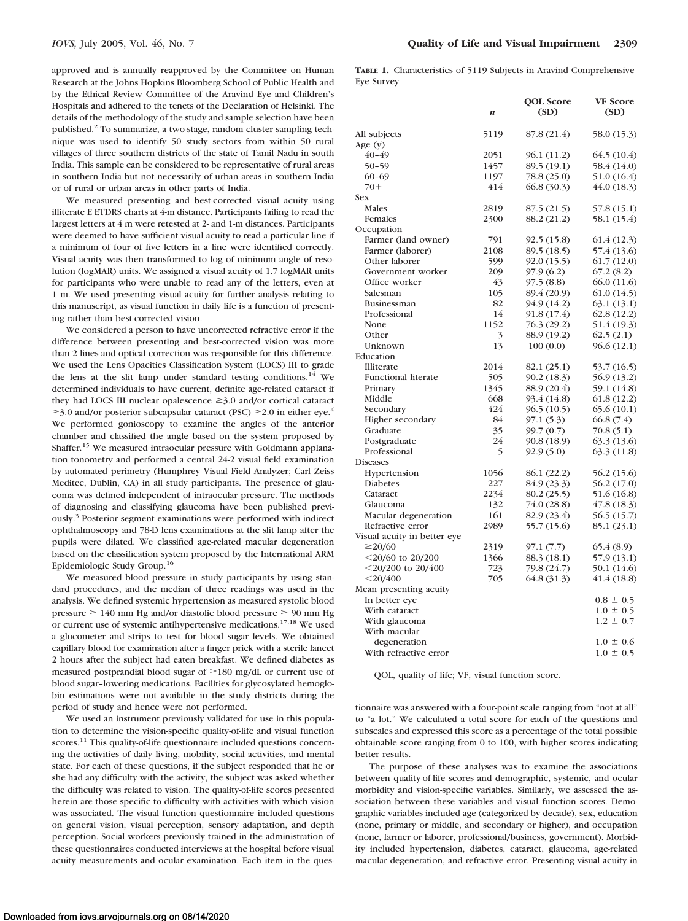approved and is annually reapproved by the Committee on Human Research at the Johns Hopkins Bloomberg School of Public Health and by the Ethical Review Committee of the Aravind Eye and Children's Hospitals and adhered to the tenets of the Declaration of Helsinki. The details of the methodology of the study and sample selection have been published.2 To summarize, a two-stage, random cluster sampling technique was used to identify 50 study sectors from within 50 rural villages of three southern districts of the state of Tamil Nadu in south India. This sample can be considered to be representative of rural areas in southern India but not necessarily of urban areas in southern India or of rural or urban areas in other parts of India.

We measured presenting and best-corrected visual acuity using illiterate E ETDRS charts at 4-m distance. Participants failing to read the largest letters at 4 m were retested at 2- and 1-m distances. Participants were deemed to have sufficient visual acuity to read a particular line if a minimum of four of five letters in a line were identified correctly. Visual acuity was then transformed to log of minimum angle of resolution (logMAR) units. We assigned a visual acuity of 1.7 logMAR units for participants who were unable to read any of the letters, even at 1 m. We used presenting visual acuity for further analysis relating to this manuscript, as visual function in daily life is a function of presenting rather than best-corrected vision.

We considered a person to have uncorrected refractive error if the difference between presenting and best-corrected vision was more than 2 lines and optical correction was responsible for this difference. We used the Lens Opacities Classification System (LOCS) III to grade the lens at the slit lamp under standard testing conditions.<sup>14</sup> We determined individuals to have current, definite age-related cataract if they had LOCS III nuclear opalescence  $\geq$ 3.0 and/or cortical cataract  $\geq$ 3.0 and/or posterior subcapsular cataract (PSC)  $\geq$ 2.0 in either eye.<sup>4</sup> We performed gonioscopy to examine the angles of the anterior chamber and classified the angle based on the system proposed by Shaffer.15 We measured intraocular pressure with Goldmann applanation tonometry and performed a central 24-2 visual field examination by automated perimetry (Humphrey Visual Field Analyzer; Carl Zeiss Meditec, Dublin, CA) in all study participants. The presence of glaucoma was defined independent of intraocular pressure. The methods of diagnosing and classifying glaucoma have been published previously.3 Posterior segment examinations were performed with indirect ophthalmoscopy and 78-D lens examinations at the slit lamp after the pupils were dilated. We classified age-related macular degeneration based on the classification system proposed by the International ARM Epidemiologic Study Group.16

We measured blood pressure in study participants by using standard procedures, and the median of three readings was used in the analysis. We defined systemic hypertension as measured systolic blood pressure  $\geq 140$  mm Hg and/or diastolic blood pressure  $\geq 90$  mm Hg or current use of systemic antihypertensive medications.17,18 We used a glucometer and strips to test for blood sugar levels. We obtained capillary blood for examination after a finger prick with a sterile lancet 2 hours after the subject had eaten breakfast. We defined diabetes as measured postprandial blood sugar of  $\geq$ 180 mg/dL or current use of blood sugar–lowering medications. Facilities for glycosylated hemoglobin estimations were not available in the study districts during the period of study and hence were not performed.

We used an instrument previously validated for use in this population to determine the vision-specific quality-of-life and visual function scores.<sup>11</sup> This quality-of-life questionnaire included questions concerning the activities of daily living, mobility, social activities, and mental state. For each of these questions, if the subject responded that he or she had any difficulty with the activity, the subject was asked whether the difficulty was related to vision. The quality-of-life scores presented herein are those specific to difficulty with activities with which vision was associated. The visual function questionnaire included questions on general vision, visual perception, sensory adaptation, and depth perception. Social workers previously trained in the administration of these questionnaires conducted interviews at the hospital before visual acuity measurements and ocular examination. Each item in the ques-

**TABLE 1.** Characteristics of 5119 Subjects in Aravind Comprehensive Eye Survey

|                             | n    | <b>QOL</b> Score<br>(SD) | VF Score<br>(SD) |
|-----------------------------|------|--------------------------|------------------|
| All subjects                | 5119 | 87.8 (21.4)              | 58.0 (15.3)      |
| Age $(y)$                   |      |                          |                  |
| 40-49                       | 2051 | 96.1 (11.2)              | 64.5 (10.4)      |
| $50 - 59$                   | 1457 | 89.5 (19.1)              | 58.4 (14.0)      |
| $60 - 69$                   | 1197 | 78.8 (25.0)              | 51.0 (16.4)      |
| $70+$                       | 414  | 66.8 (30.3)              | 44.0(18.3)       |
| <b>Sex</b>                  |      |                          |                  |
| Males                       | 2819 | 87.5 (21.5)              | 57.8 (15.1)      |
| Females                     | 2300 | 88.2 (21.2)              | 58.1 (15.4)      |
| Occupation                  |      |                          |                  |
| Farmer (land owner)         | 791  | 92.5 (15.8)              | 61.4 (12.3)      |
| Farmer (laborer)            | 2108 | 89.5 (18.5)              | 57.4 (13.6)      |
| Other laborer               | 599  | 92.0 (15.5)              | 61.7 (12.0)      |
| Government worker           | 209  | 97.9 (6.2)               | 67.2(8.2)        |
| Office worker               | 43   | 97.5(8.8)                | 66.0 (11.6)      |
| Salesman                    | 105  | 89.4 (20.9)              | 61.0 (14.5)      |
| Businessman                 | 82   | 94.9 (14.2)              | 63.1 (13.1)      |
| Professional                | 14   | 91.8 (17.4)              | 62.8 (12.2)      |
| None                        | 1152 | 76.3 (29.2)              | 51.4 (19.3)      |
| Other                       | 3    | 88.9 (19.2)              | 62.5(2.1)        |
| Unknown                     | 13   | 100(0.0)                 | 96.6 (12.1)      |
| Education                   |      |                          |                  |
| Illiterate                  | 2014 | 82.1 (25.1)              | 53.7 (16.5)      |
| <b>Functional literate</b>  | 505  | 90.2 (18.3)              | 56.9 (13.2)      |
| Primary                     | 1345 | 88.9 (20.4)              | 59.1 (14.8)      |
| Middle                      | 668  | 93.4 (14.8)              | 61.8 (12.2)      |
| Secondary                   | 424  | 96.5 (10.5)              | 65.6 (10.1)      |
| Higher secondary            | 84   | 97.1 (5.3)               | 66.8 (7.4)       |
| Graduate                    | 35   | 99.7 (0.7)               | 70.8(5.1)        |
| Postgraduate                | 24   | 90.8 (18.9)              | 63.3 (13.6)      |
| Professional                | 5    | 92.9 (5.0)               | 63.3 (11.8)      |
| Diseases                    |      |                          |                  |
| Hypertension                | 1056 | 86.1 (22.2)              | 56.2 (15.6)      |
| Diabetes                    | 227  | 84.9 (23.3)              | 56.2 (17.0)      |
| Cataract                    | 2234 | 80.2 (25.5)              | 51.6 (16.8)      |
| Glaucoma                    | 132  | 74.0 (28.8)              | 47.8 (18.3)      |
| Macular degeneration        | 161  | 82.9 (23.4)              | 56.5 (15.7)      |
| Refractive error            | 2989 | 55.7 (15.6)              | 85.1 (23.1)      |
| Visual acuity in better eye |      |                          |                  |
| $\geq$ 20/60                | 2319 | 97.1 (7.7)               | 65.4 (8.9)       |
| $<$ 20/60 to 20/200         | 1366 | 88.3 (18.1)              | 57.9 (13.1)      |
| $<$ 20/200 to 20/400        | 723  | 79.8 (24.7)              | 50.1 (14.6)      |
| $<$ 20/400                  | 705  | 64.8 (31.3)              | 41.4 (18.8)      |
| Mean presenting acuity      |      |                          |                  |
| In better eye               |      |                          | $0.8 \pm 0.5$    |
| With cataract               |      |                          | $1.0 \pm 0.5$    |
| With glaucoma               |      |                          | $1.2 \pm 0.7$    |
| With macular                |      |                          |                  |
| degeneration                |      |                          | $1.0 \pm 0.6$    |
| With refractive error       |      |                          | $1.0 \pm 0.5$    |

QOL, quality of life; VF, visual function score.

tionnaire was answered with a four-point scale ranging from "not at all" to "a lot." We calculated a total score for each of the questions and subscales and expressed this score as a percentage of the total possible obtainable score ranging from 0 to 100, with higher scores indicating better results.

The purpose of these analyses was to examine the associations between quality-of-life scores and demographic, systemic, and ocular morbidity and vision-specific variables. Similarly, we assessed the association between these variables and visual function scores. Demographic variables included age (categorized by decade), sex, education (none, primary or middle, and secondary or higher), and occupation (none, farmer or laborer, professional/business, government). Morbidity included hypertension, diabetes, cataract, glaucoma, age-related macular degeneration, and refractive error. Presenting visual acuity in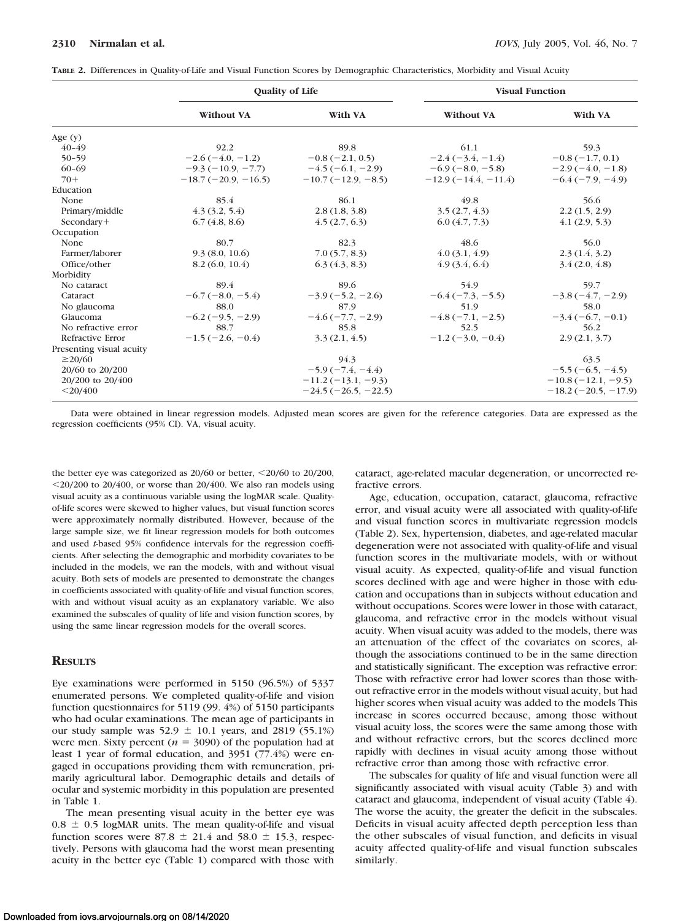| TABLE 2. Differences in Quality-of-Life and Visual Function Scores by Demographic Characteristics, Morbidity and Visual Acuity |  |  |  |  |  |  |
|--------------------------------------------------------------------------------------------------------------------------------|--|--|--|--|--|--|
|--------------------------------------------------------------------------------------------------------------------------------|--|--|--|--|--|--|

|                          | <b>Quality of Life</b> |                                        | <b>Visual Function</b> |                       |  |
|--------------------------|------------------------|----------------------------------------|------------------------|-----------------------|--|
|                          | <b>Without VA</b>      | With VA                                | <b>Without VA</b>      | With VA               |  |
| Age $(y)$                |                        |                                        |                        |                       |  |
| $40 - 49$                | 92.2                   | 89.8                                   | 61.1                   | 59.3                  |  |
| $50 - 59$                | $-2.6(-4.0, -1.2)$     | $-0.8(-2.1, 0.5)$                      | $-2.4(-3.4, -1.4)$     | $-0.8(-1.7, 0.1)$     |  |
| $60 - 69$                |                        | $-9.3(-10.9, -7.7)$ $-4.5(-6.1, -2.9)$ | $-6.9(-8.0, -5.8)$     | $-2.9(-4.0, -1.8)$    |  |
| $70+$                    | $-18.7(-20.9, -16.5)$  | $-10.7(-12.9, -8.5)$                   | $-12.9(-14.4, -11.4)$  | $-6.4(-7.9, -4.9)$    |  |
| Education                |                        |                                        |                        |                       |  |
| None                     | 85.4                   | 86.1                                   | 49.8                   | 56.6                  |  |
| Primary/middle           | 4.3(3.2, 5.4)          | 2.8(1.8, 3.8)                          | 3.5(2.7, 4.3)          | 2.2(1.5, 2.9)         |  |
| Secondary+               | 6.7(4.8, 8.6)          | 4.5(2.7, 6.3)                          | 6.0(4.7, 7.3)          | 4.1(2.9, 5.3)         |  |
| Occupation               |                        |                                        |                        |                       |  |
| None                     | 80.7                   | 82.3                                   | 48.6                   | 56.0                  |  |
| Farmer/laborer           | 9.3(8.0, 10.6)         | 7.0(5.7, 8.3)                          | 4.0(3.1, 4.9)          | 2.3(1.4, 3.2)         |  |
| Office/other             | 8.2(6.0, 10.4)         | 6.3(4.3, 8.3)                          | 4.9(3.4, 6.4)          | 3.4(2.0, 4.8)         |  |
| Morbidity                |                        |                                        |                        |                       |  |
| No cataract              | 89.4                   | 89.6                                   | 54.9                   | 59.7                  |  |
| Cataract                 | $-6.7(-8.0, -5.4)$     | $-3.9(-5.2, -2.6)$                     | $-6.4(-7.3, -5.5)$     | $-3.8(-4.7, -2.9)$    |  |
| No glaucoma              | 88.0                   | 87.9                                   | 51.9                   | 58.0                  |  |
| Glaucoma                 | $-6.2(-9.5, -2.9)$     | $-4.6(-7.7, -2.9)$                     | $-4.8(-7.1, -2.5)$     | $-3.4(-6.7, -0.1)$    |  |
| No refractive error      | 88.7                   | 85.8                                   | 52.5                   | 56.2                  |  |
| Refractive Error         | $-1.5(-2.6, -0.4)$     | 3.3(2.1, 4.5)                          | $-1.2(-3.0, -0.4)$     | 2.9(2.1, 3.7)         |  |
| Presenting visual acuity |                        |                                        |                        |                       |  |
| $\geq$ 20/60             |                        | 94.3                                   |                        | 63.5                  |  |
| 20/60 to 20/200          |                        | $-5.9(-7.4, -4.4)$                     |                        | $-5.5(-6.5, -4.5)$    |  |
| 20/200 to 20/400         |                        | $-11.2(-13.1, -9.3)$                   |                        | $-10.8(-12.1, -9.5)$  |  |
| $<$ 20/400               |                        | $-24.5(-26.5, -22.5)$                  |                        | $-18.2(-20.5, -17.9)$ |  |

Data were obtained in linear regression models. Adjusted mean scores are given for the reference categories. Data are expressed as the regression coefficients (95% CI). VA, visual acuity.

the better eye was categorized as  $20/60$  or better,  $\leq 20/60$  to  $20/200$ ,  $\leq$ 20/200 to 20/400, or worse than 20/400. We also ran models using visual acuity as a continuous variable using the logMAR scale. Qualityof-life scores were skewed to higher values, but visual function scores were approximately normally distributed. However, because of the large sample size, we fit linear regression models for both outcomes and used *t*-based 95% confidence intervals for the regression coefficients. After selecting the demographic and morbidity covariates to be included in the models, we ran the models, with and without visual acuity. Both sets of models are presented to demonstrate the changes in coefficients associated with quality-of-life and visual function scores, with and without visual acuity as an explanatory variable. We also examined the subscales of quality of life and vision function scores, by using the same linear regression models for the overall scores.

#### **RESULTS**

Eye examinations were performed in 5150 (96.5%) of 5337 enumerated persons. We completed quality-of-life and vision function questionnaires for 5119 (99. 4%) of 5150 participants who had ocular examinations. The mean age of participants in our study sample was  $52.9 \pm 10.1$  years, and 2819 (55.1%) were men. Sixty percent ( $n = 3090$ ) of the population had at least 1 year of formal education, and 3951 (77.4%) were engaged in occupations providing them with remuneration, primarily agricultural labor. Demographic details and details of ocular and systemic morbidity in this population are presented in Table 1.

The mean presenting visual acuity in the better eye was  $0.8 \pm 0.5$  logMAR units. The mean quality-of-life and visual function scores were  $87.8 \pm 21.4$  and  $58.0 \pm 15.3$ , respectively. Persons with glaucoma had the worst mean presenting acuity in the better eye (Table 1) compared with those with

cataract, age-related macular degeneration, or uncorrected refractive errors.

Age, education, occupation, cataract, glaucoma, refractive error, and visual acuity were all associated with quality-of-life and visual function scores in multivariate regression models (Table 2). Sex, hypertension, diabetes, and age-related macular degeneration were not associated with quality-of-life and visual function scores in the multivariate models, with or without visual acuity. As expected, quality-of-life and visual function scores declined with age and were higher in those with education and occupations than in subjects without education and without occupations. Scores were lower in those with cataract, glaucoma, and refractive error in the models without visual acuity. When visual acuity was added to the models, there was an attenuation of the effect of the covariates on scores, although the associations continued to be in the same direction and statistically significant. The exception was refractive error: Those with refractive error had lower scores than those without refractive error in the models without visual acuity, but had higher scores when visual acuity was added to the models This increase in scores occurred because, among those without visual acuity loss, the scores were the same among those with and without refractive errors, but the scores declined more rapidly with declines in visual acuity among those without refractive error than among those with refractive error.

The subscales for quality of life and visual function were all significantly associated with visual acuity (Table 3) and with cataract and glaucoma, independent of visual acuity (Table 4). The worse the acuity, the greater the deficit in the subscales. Deficits in visual acuity affected depth perception less than the other subscales of visual function, and deficits in visual acuity affected quality-of-life and visual function subscales similarly.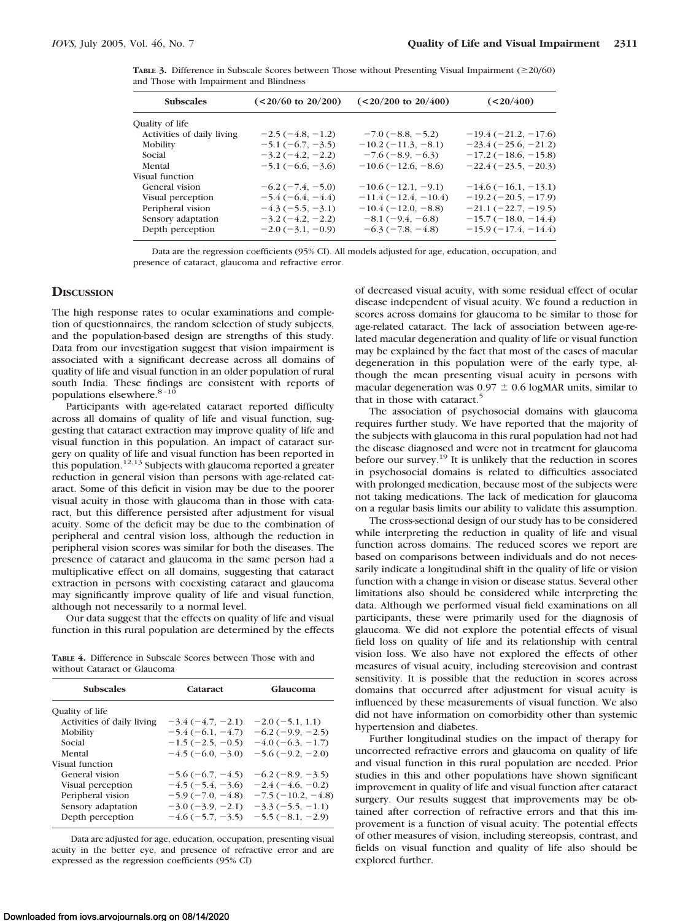**TABLE 3.** Difference in Subscale Scores between Those without Presenting Visual Impairment (20/60) and Those with Impairment and Blindness

| <b>Subscales</b>           | $(<20/60$ to 20/200)       | $(<20/200$ to $20/400$ ) | $(20/400)$             |
|----------------------------|----------------------------|--------------------------|------------------------|
| Quality of life            |                            |                          |                        |
| Activities of daily living | $-2.5(-4.8, -1.2)$         | $-7.0$ (-8.8, -5.2)      | $-19.4(-21.2, -17.6)$  |
| Mobility                   | $-5.1(-6.7, -3.5)$         | $-10.2(-11.3, -8.1)$     | $-23.4(-25.6, -21.2)$  |
| Social                     | $-3.2(-4.2, -2.2)$         | $-7.6(-8.9, -6.3)$       | $-17.2(-18.6, -15.8)$  |
| Mental                     | $-5.1(-6.6, -3.6)$         | $-10.6(-12.6, -8.6)$     | $-22.4(-23.5, -20.3)$  |
| Visual function            |                            |                          |                        |
| General vision             | $-6.2(-7.4, -5.0)$         | $-10.6(-12.1, -9.1)$     | $-14.6(-16.1, -13.1)$  |
| Visual perception          | $-5.4(-6.4, -4.4)$         | $-11.4(-12.4,-10.4)$     | $-19.2(-20.5, -17.9)$  |
| Peripheral vision          | $-4.3(-5.5, -3.1)$         | $-10.4(-12.0, -8.8)$     | $-21.1 (-22.7, -19.5)$ |
| Sensory adaptation         | $-3.2(-4.2, -2.2)$         | $-8.1(-9.4, -6.8)$       | $-15.7(-18.0, -14.4)$  |
| Depth perception           | $-2.0$ ( $-3.1$ , $-0.9$ ) | $-6.3(-7.8, -4.8)$       | $-15.9(-17.4, -14.4)$  |
|                            |                            |                          |                        |

Data are the regression coefficients (95% CI). All models adjusted for age, education, occupation, and presence of cataract, glaucoma and refractive error.

#### **DISCUSSION**

The high response rates to ocular examinations and completion of questionnaires, the random selection of study subjects, and the population-based design are strengths of this study. Data from our investigation suggest that vision impairment is associated with a significant decrease across all domains of quality of life and visual function in an older population of rural south India. These findings are consistent with reports of populations elsewhere.<sup>8-10</sup>

Participants with age-related cataract reported difficulty across all domains of quality of life and visual function, suggesting that cataract extraction may improve quality of life and visual function in this population. An impact of cataract surgery on quality of life and visual function has been reported in this population.<sup>12,13</sup> Subjects with glaucoma reported a greater reduction in general vision than persons with age-related cataract. Some of this deficit in vision may be due to the poorer visual acuity in those with glaucoma than in those with cataract, but this difference persisted after adjustment for visual acuity. Some of the deficit may be due to the combination of peripheral and central vision loss, although the reduction in peripheral vision scores was similar for both the diseases. The presence of cataract and glaucoma in the same person had a multiplicative effect on all domains, suggesting that cataract extraction in persons with coexisting cataract and glaucoma may significantly improve quality of life and visual function, although not necessarily to a normal level.

Our data suggest that the effects on quality of life and visual function in this rural population are determined by the effects

| <b>TABLE 4.</b> Difference in Subscale Scores between Those with and |  |  |  |  |
|----------------------------------------------------------------------|--|--|--|--|
| without Cataract or Glaucoma                                         |  |  |  |  |

| <b>Subscales</b>           | Cataract           | Glaucoma            |  |  |
|----------------------------|--------------------|---------------------|--|--|
| Quality of life            |                    |                     |  |  |
| Activities of daily living | $-3.4(-4.7, -2.1)$ | $-2.0$ (-5.1, 1.1)  |  |  |
| Mobility                   | $-5.4(-6.1, -4.7)$ | $-6.2(-9.9, -2.5)$  |  |  |
| Social                     | $-1.5(-2.5, -0.5)$ | $-4.0$ (-6.3, -1.7) |  |  |
| Mental                     | $-4.5(-6.0, -3.0)$ | $-5.6(-9.2, -2.0)$  |  |  |
| Visual function            |                    |                     |  |  |
| General vision             | $-5.6(-6.7, -4.5)$ | $-6.2(-8.9, -3.5)$  |  |  |
| Visual perception          | $-4.5(-5.4, -3.6)$ | $-2.4(-4.6, -0.2)$  |  |  |
| Peripheral vision          | $-5.9(-7.0, -4.8)$ | $-7.5(-10.2, -4.8)$ |  |  |
| Sensory adaptation         | $-3.0(-3.9, -2.1)$ | $-3.3(-5.5, -1.1)$  |  |  |
| Depth perception           | $-4.6(-5.7, -3.5)$ | $-5.5(-8.1, -2.9)$  |  |  |

Data are adjusted for age, education, occupation, presenting visual acuity in the better eye, and presence of refractive error and are expressed as the regression coefficients (95% CI)

of decreased visual acuity, with some residual effect of ocular disease independent of visual acuity. We found a reduction in scores across domains for glaucoma to be similar to those for age-related cataract. The lack of association between age-related macular degeneration and quality of life or visual function may be explained by the fact that most of the cases of macular degeneration in this population were of the early type, although the mean presenting visual acuity in persons with macular degeneration was  $0.97 \pm 0.6$  logMAR units, similar to that in those with cataract.<sup>5</sup>

The association of psychosocial domains with glaucoma requires further study. We have reported that the majority of the subjects with glaucoma in this rural population had not had the disease diagnosed and were not in treatment for glaucoma before our survey.<sup>19</sup> It is unlikely that the reduction in scores in psychosocial domains is related to difficulties associated with prolonged medication, because most of the subjects were not taking medications. The lack of medication for glaucoma on a regular basis limits our ability to validate this assumption.

The cross-sectional design of our study has to be considered while interpreting the reduction in quality of life and visual function across domains. The reduced scores we report are based on comparisons between individuals and do not necessarily indicate a longitudinal shift in the quality of life or vision function with a change in vision or disease status. Several other limitations also should be considered while interpreting the data. Although we performed visual field examinations on all participants, these were primarily used for the diagnosis of glaucoma. We did not explore the potential effects of visual field loss on quality of life and its relationship with central vision loss. We also have not explored the effects of other measures of visual acuity, including stereovision and contrast sensitivity. It is possible that the reduction in scores across domains that occurred after adjustment for visual acuity is influenced by these measurements of visual function. We also did not have information on comorbidity other than systemic hypertension and diabetes.

Further longitudinal studies on the impact of therapy for uncorrected refractive errors and glaucoma on quality of life and visual function in this rural population are needed. Prior studies in this and other populations have shown significant improvement in quality of life and visual function after cataract surgery. Our results suggest that improvements may be obtained after correction of refractive errors and that this improvement is a function of visual acuity. The potential effects of other measures of vision, including stereopsis, contrast, and fields on visual function and quality of life also should be explored further.